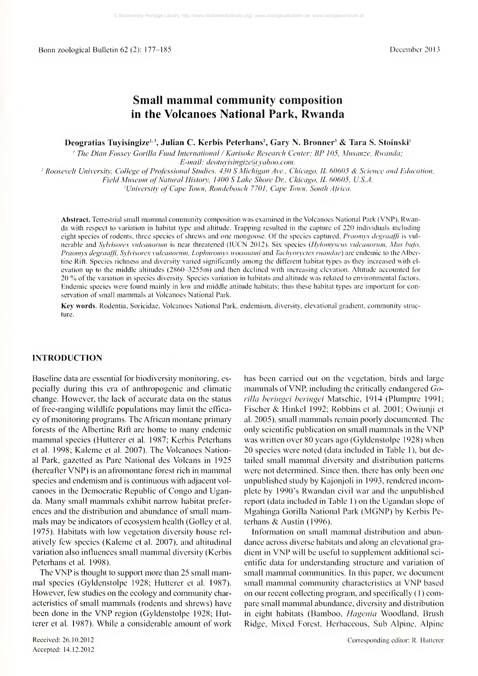# Small mammal community composition in the Volcanoes National Park, Rwanda

Deogratias Tuyisingize<sup>1, 3</sup>, Julian C. Kerbis Peterhans<sup>2</sup>, Gary N. Bronner<sup>3</sup> & Tara S. Stoinski<sup>1</sup>

' The Dian Fossev Gorilla Fund International / Karisoke Research Center: BP 105. Musanze. Rwanda:

E-mail: deotuvisingize@yahoo.com.

<sup>2</sup> Roosevelt University, College of Professional Studies, 430 S Michigan Ave., Chicago, IL 60605 & Science and Education,

Field Museum of Natural History, 1400 S Lake Shore Dr., Chicago, IL 60605, U.S.A.

<sup>3</sup>University of Cape Town, Rondebosch 7701, Cape Town, South Africa.

Abstract. Terrestrial small mammal community composition was examined in the Volcanoes National Park ( VNP), Rwanda with respect to variation in habitat type and altitude. Trapping resulted in the capture of 220 individuals including eight species of rodents, three species of shrews and one mongoose. Of the species captured, *Praomys degraaffi* is vulnerable and Sylvisorex vulcanorum is near threatened (IUCN 2012). Six species (Hylomyscus vulcanorum, Mus bufo, Praomys degraaffi, Sylvisorex vulcanorum, Lophuromys woosnami and Tachyoryctes ruandae) are endemic to the Albertine Rift. Species richness and diversity varied significantly among the different habitat types as they increased with el evation up to the middle altitudes (2860-3255m) and then declined with increasing elevation. Altitude accounted for <sup>20</sup> % ofthe variation in species diversity. Species variation in habitats and altitude was related to environmental factors. Endemic species were found mainly in low and middle attitude habitats; thus these habitat types are important for conservation of small mammals at Volcanoes National Park.

Key words. Rodentia. Soricidae, Volcanoes National Park, endemism, diversity, elevational gradient, community structure.

# INTRODUCTION

Baseline data are essential for biodiversity monitoring, es pecially during this era of anthropogenic and climatic change. However, the lack of accurate data on the status of free-ranging wildlife populations may limit the effica cy of monitoring programs. The African montane primary forests of the Albertine Rift are home to many endemic mammal species (Hutterer et al. 1987; Kerbis Peterhans et al. 1998; Kaleme et al. 2007). The Volcanoes National Park, gazetted as Pare National des Volcans in 1925 (hereafter VNP) is an afromontane forest rich in mammal species and endemism and is continuous with adjacent vol canoes in the Democratic Republic of Congo and Uganda. Many small mammals exhibit narrow habitat prefer ences and the distribution and abundance of small mammals may be indicators of ecosystem health (Golley et al. 1975). Habitats with low vegetation diversity house rel atively few species (Kaleme et al. 2007), and altitudinal variation also influences small mammal diversity (Kerbis Peterhans et al. 1998).

The VNP is thought to support more than <sup>25</sup> small mammal species (Gyldenstolpe 1928; Hutterer et al. 1987). However, few studies on the ecology and community characteristics of small mammals (rodents and shrews) have been done in the VNP region (Gyldenstolpe 1928; Hutterer et al. 1987). While a considerable amount of work

Received; 26.10.2012 Accepted; 14.12.2012 has been carried out on the vegetation, birds and large mammals of VNP, including the critically endangered Gorilla beringei beringei Matschie, 1914 (Plumptre 1991; Fischer & Hinkel 1992; Robbins et al. 2001; Owiunji et al. 2005), small mammals remain poorly documented. The only scientific publication on sinall mammals in the VNP was written over 80 years ago (Gyldenstolpe 1928) when 20 species were noted (data included in Table 1), but detailed small mammal diversity and distribution patterns were not determined. Since then, there has only been one unpublished study by Kajonjoli in 1993, rendered incomplete by 1990's Rwandan civil war and the unpublished report (data included in Table 1) on the Ugandan slope of Mgahinga Gorilla National Park (MGNP) by Kerbis Peterhans & Austin (1996).

Information on small mammal distribution and abundance across diverse habitats and along an elevational gra dient in VNP will be useful to supplement additional sci entific data for understanding structure and variation of small mammal communities. In this paper, we document small mammal community characteristics at VNP based on our recent collecting program, and specifically  $(1)$  compare small mammal abundance, diversity and distribution in eight habitats (Bamboo, Hagenia Woodland, Brush Ridge, Mixed Forest, Herbaceous, Sub Alpine, Alpine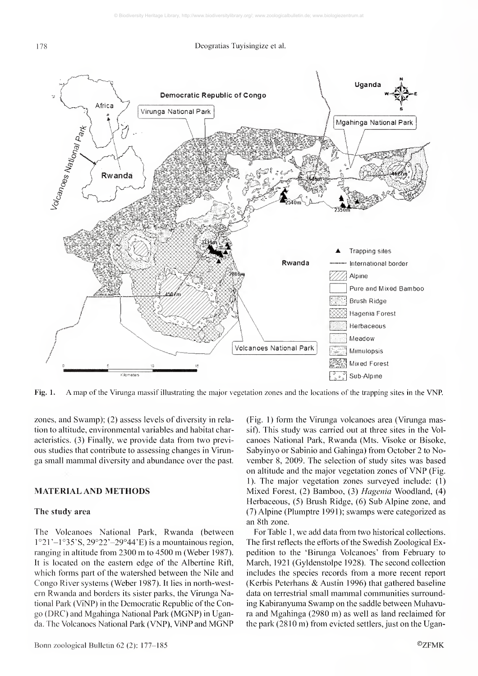

Fig. 1. A map of the Virunga massif illustrating the major vegetation zones and the locations of the trapping sites in the VNP.

zones, and Swamp); (2) assess levels of diversity in rela tion to altitude, environmental variables and habitat characteristics. (3) Finally, we provide data from two previ ous studies that contribute to assessing changes in Virun ga small mammal diversity and abundance over the past.

# MATERIAL AND METHODS

#### The study area

The Volcanoes National Park, Rwanda (between  $1°21' - 1°35'S$ ,  $29°22' - 29°44'E$ ) is a mountainous region, ranging in altitude from <sup>2300</sup> m to <sup>4500</sup> m (Weber 1987). It is located on the eastern edge of the Albertine Rift, which forms part of the watershed between the Nile and Congo River systems (Weber 1987). It lies in north-west em Rwanda and borders its sister parks, the Virunga National Park (ViNP) in the Democratic Republic of the Congo (DRC) and Mgahinga National Park (MGNP) in Uganda. The Volcanoes National Park (VNP), ViNP and MGNP (Fig. 1) form the Virunga volcanoes area (Virunga massif). This study was carried out at three sites in the Vol canoes National Park, Rwanda (Mts. Visoke or Bisoke, Sabyinyo or Sabinio and Gahinga) from October 2 to November 8, 2009. The selection of study sites was based on altitude and the major vegetation zones of VNP (Fig. 1). The major vegetation zones surveyed include: (1) Mixed Forest, (2) Bamboo, (3) Hagenia Woodland, (4) Herbaceous, (5) Brush Ridge, (6) Sub Alpine zone, and (7) Alpine (Plumptre 1991); swamps were categorized as an 8th zone.

For Table 1, we add data from two historical collections. The first reflects the efforts of the Swedish Zoological Expedition to the 'Birunga Volcanoes' from February to March, 1921 (Gyldenstolpe 1928). The second collection includes the species records from a more recent report (Kerbis Peterhans & Austin 1996) that gathered baseline data on terrestrial small mammal communities surrounding Kabiranyuma Swamp on the saddle between Muhavura and Mgahinga (2980 m) as well as land reclaimed for the park  $(2810 \text{ m})$  from evicted settlers, just on the Ugan-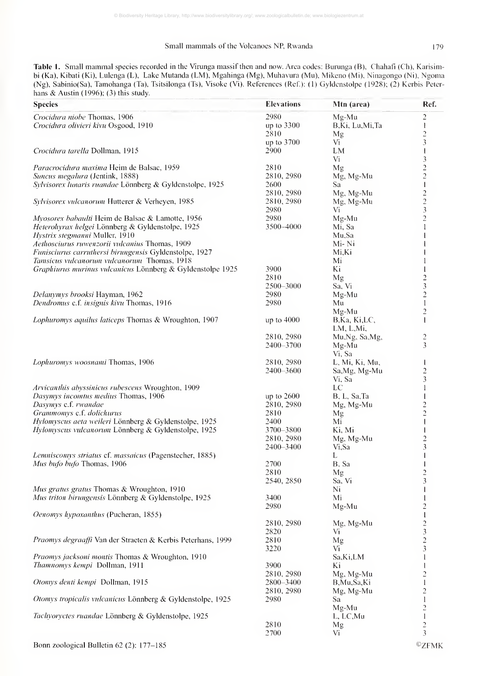# Small mammals of the Volcanoes NP, Rwanda 179

Table 1. Small mammal species recorded in the Virunga massif then and now. Area codes: Burunga (B), Chahafi (Ch), Karisimbi (Ka), Kibati (Ki), Lulenga (L), Lake Mutanda (LM), Mgahinga (Mg), Muhavura (Mu), Mikeno (Mi), Ninagongo (Ni), Ngoma (Ng), Sabinio(Sa), Tamohanga (Ta), Tsitsilonga (Ts), Visoke (Vi). References (Rcf): (1) Gyldenstolpe (1928); (2) Kerbis Peter hans & Austin (1996); (3) this study.

| <b>Species</b>                                                                                     | <b>Elevations</b>  | Mtn (area)      | Ref.                             |
|----------------------------------------------------------------------------------------------------|--------------------|-----------------|----------------------------------|
| Crocidura niobe Thomas, 1906                                                                       | 2980               | Mg-Mu           | 2                                |
| Crocidura olivieri kivu Osgood, 1910                                                               | up to 3300         | B,Ki, Lu,Mi,Ta  | 1                                |
|                                                                                                    | 2810               | Mg              | $\overline{c}$                   |
|                                                                                                    | up to 3700         | Vi              | 3                                |
| Crocidura tarella Dollman, 1915                                                                    | 2900               | LM              | 1                                |
|                                                                                                    |                    | Vi              | 3                                |
| <i>Paracrocidura maxima</i> Heim de Balsac, 1959                                                   | 2810               | Mg              | $\overline{c}$                   |
| Suncus megalura (Jentink, 1888)                                                                    | 2810, 2980         | Mg, Mg-Mu       | $\overline{c}$                   |
| Sylvisorex lunaris ruandae Lönnberg & Gyldenstolpe, 1925                                           | 2600               | Sa              | 1                                |
|                                                                                                    | 2810, 2980         | Mg, Mg-Mu       | $\overline{c}$                   |
| Sylvisorex vulcanorum Hutterer & Verheyen, 1985                                                    | 2810, 2980         | Mg, Mg-Mu       | $\overline{c}$                   |
|                                                                                                    | 2980               | Vi              | 3                                |
| Myosorex babaulti Heim de Balsac & Lamotte, 1956                                                   | 2980               | Mg-Mu           | $\overline{c}$                   |
| Heteroliyrax helgei Lönnberg & Gyldenstolpe, 1925                                                  | 3500-4000          | Mi, Sa          |                                  |
| Hystrix stegmanni Muller, 1910                                                                     |                    | Mu,Sa           |                                  |
| Aethosciurus ruwenzorii vulcanius Thomas, 1909                                                     |                    | Mi- Ni          |                                  |
| Funisciurus carruthersi birungensis Gyldenstolpe, 1927                                             |                    | Mi,Ki           |                                  |
| Tamsicus vulcanorum vulcanorum Thomas, 1918                                                        |                    | Mi              |                                  |
| Graphiurus murinus vulcanicus Lönnberg & Gyldenstolpe 1925                                         | 3900               | Ki              |                                  |
|                                                                                                    | 2810               | Mg              | $\overline{\mathbf{c}}$          |
|                                                                                                    | 2500-3000          | Sa, Vi          | 3                                |
| <i>Delanymys brooksi</i> Hayman, 1962                                                              | 2980               | Mg-Mu           | $\overline{\mathbf{c}}$          |
| Dendromus c.f. insignis kivu Thomas, 1916                                                          | 2980               | Mu              | 1                                |
|                                                                                                    |                    | $Mg-Mu$         | 2                                |
| Lophuromys aquilus laticeps Thomas & Wroughton, 1907                                               | up to $4000$       | B, Ka, Ki, LC,  | 1                                |
|                                                                                                    |                    | LM, L,Mi,       |                                  |
|                                                                                                    | 2810, 2980         | Mu, Ng, Sa, Mg, | $\overline{\mathbf{c}}$          |
|                                                                                                    | 2400-3700          | Mg-Mu           | 3                                |
|                                                                                                    |                    | Vi, Sa          |                                  |
| Lopluromys woosnanii Thomas, 1906                                                                  | 2810, 2980         | L, Mi, Ki, Mu,  | 1                                |
|                                                                                                    | 2400-3600          | Sa, Mg, Mg-Mu   | $\overline{\mathbf{c}}$          |
|                                                                                                    |                    | Vi, Sa          | 3                                |
| Arvicantluis abyssinicus rubescens Wroughton, 1909                                                 |                    | LC              | $\mathbf{1}$                     |
| Dasymys incomtus medius Thomas, 1906                                                               | up to $2600$       | B, L, Sa, Ta    |                                  |
| Dasymys c.f. rwandae                                                                               | 2810, 2980         | Mg, Mg-Mu       | $\overline{\mathbf{c}}$          |
| Grammontys c.f. dolichurus                                                                         | 2810               | Mg              | $\overline{c}$                   |
| Hylomyscus aeta weileri Lönnberg & Gyldenstolpe, 1925                                              | 2400               | Mi              | 1                                |
| Hylomyscus vulcanorum Lönnberg & Gyldenstolpe, 1925                                                | 3700-3800          | Ki, Mi          |                                  |
|                                                                                                    | 2810, 2980         | Mg, Mg-Mu       | 2                                |
|                                                                                                    | 2400-3400          | Vi,Sa           | 3                                |
| Lemnisconys striatus cf. massaicus (Pagenstecher, 1885)                                            |                    | L               |                                  |
| Mus bufo bufo Thomas, 1906                                                                         | 2700               | B, Sa           |                                  |
|                                                                                                    | 2810               | Mg              | $\frac{2}{3}$                    |
|                                                                                                    | 2540, 2850         | Sa, Vi          |                                  |
| Mus gratus gratus Thomas & Wroughton, 1910<br>Mus triton birungensis Lönnberg & Gyldenstolpe, 1925 | 3400               | Ni              | 1                                |
|                                                                                                    |                    | Mi              | $\mathbf{I}$                     |
|                                                                                                    | 2980               | Mg-Mu           | 2                                |
| Oenomys hypoxanthus (Pucheran, 1855)                                                               |                    |                 | 1                                |
|                                                                                                    | 2810, 2980<br>2820 | Mg, Mg-Mu       | 2                                |
| Praomys degraaffi Van der Straeten & Kerbis Peterhans, 1999                                        | 2810               | Vi              | 3                                |
|                                                                                                    |                    | Mg              | $\overline{c}$                   |
| Praomys jacksoni montis Thomas & Wroughton, 1910                                                   | 3220               | Vi<br>Sa,Ki,LM  | 3                                |
| Thamnomys kempi Dollman, 1911                                                                      | 3900               |                 |                                  |
|                                                                                                    | 2810, 2980         | Ki              |                                  |
|                                                                                                    |                    | Mg, Mg-Mu       | 2                                |
| Otoniys denti kenipi Dollman, 1915                                                                 | 2800-3400          | B,Mu,Sa,Ki      | 1                                |
| Otomys tropicalis vulcanicus Lönnberg & Gyldenstolpe, 1925                                         | 2810, 2980<br>2980 | Mg, Mg-Mu       | 2                                |
|                                                                                                    |                    | Sa<br>$Mg-Mu$   | $\mathbf{1}$<br>$\overline{c}$   |
| Tacliyoryctes ruandae Lönnberg & Gyldenstolpe, 1925                                                |                    | L, LC, Mu       | $\,$ $\,$                        |
|                                                                                                    | 2810               |                 |                                  |
|                                                                                                    | 2700               | Mg<br>Vi        | $\overline{c}$<br>$\overline{3}$ |
|                                                                                                    |                    |                 |                                  |
| Bonn zoological Bulletin 62 (2): 177-185                                                           |                    |                 | ${}^{\circ}$ ZFMK                |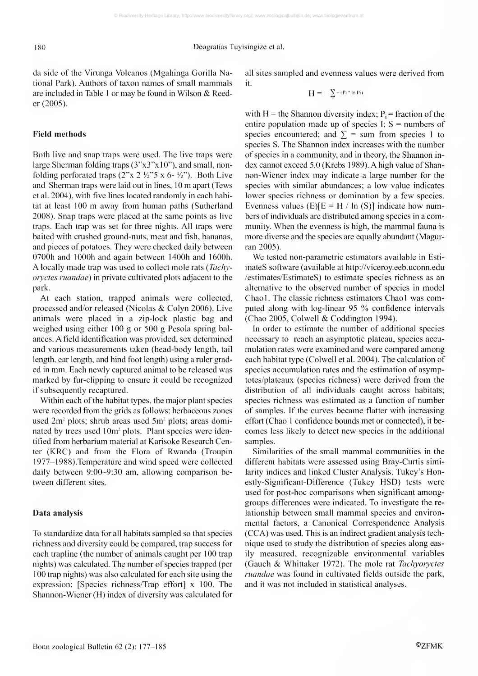180 Deogratias Tuyisingize et al.

da side of the Virunga Volcanos (Mgahinga Gorilla National Park). Authors of taxon names of small mammals are included in Table <sup>1</sup> or may be found in Wilson &. Reeder (2005).

# Field methods

Both live and snap traps were used. The live traps were large Sherman folding traps  $(3"x3"x10")$ , and small, nonfolding perforated traps  $(2^x \times 2 \frac{1}{2^x})^5 \times 6 - \frac{1}{2^x})$ . Both Live and Sherman traps were laid out in lines, <sup>10</sup> m apart (Tews et al. 2004), with five lines located randomly in each habitat at least <sup>100</sup> m away from human paths (Sutherland 2008). Snap traps were placed at the same points as live traps. Each trap was set for three nights. All traps were baited with crushed ground-nuts, meat and fish, bananas, and pieces of potatoes. They were checked daily between 0700h and lOOOh and again between 1400h and 1600h. A locally made trap was used to collect mole rats {Tachvoryctes ruandae) in private cultivated plots adjacent to the park.

At each station, trapped animals were collected, processed and/or released (Nicolas & Colyn 2006). Live animals were placed in a zip-lock plastic bag and weighed using either 100 g or 500 g Pesola spring bal ances. A field identification was provided, sex determined and various measurements taken (head-body length, tail length, ear length, and hind foot length) using a ruler graded in mm. Each newly captured animal to be released was marked by fur-clipping to ensure it could be recognized if subsequently recaptured.

Within each of the habitat types, the major plant species were recorded from the grids as follows: herbaceous zones used  $2m^2$  plots; shrub areas used  $5m^2$  plots; areas dominated by trees used 10m<sup>2</sup> plots. Plant species were identified from herbarium material at Karisoke Research Center (KRC) and from the Flora of Rwanda (Troupin 1977-1 988 ).Temperature and wind speed were collected daily between 9:00-9:30 am, allowing comparison be tween different sites.

#### Data analysis

To standardize data for all habitats sampled so that species richness and diversity could be compared, trap success for each trapline (the number of animals caught per 100 trap nights) was calculated. The number of species trapped (per 100 trap nights) was also calculated for each site using the expression: [Species richness/Trap effort] x 100. The Shannon-Wiener (H) index of diversity was calculated for all sites sampled and evenness values were derived from it.

$$
H=-\sum\nolimits_{i=1}^{n-1}H_{i}^{n}\ln P(i-1)
$$

with H = the Shannon diversity index;  $P_i$  = fraction of the entire population made up of species I;  $S =$  numbers of species encountered; and  $\Sigma$  = sum from species 1 to species S. The Shannon index increases with the number of species in a community, and in theory, the Shannon in dex cannot exceed 5.0 (Krebs 1989). A high value of Shannon-Wiener index may indicate a large number for the species with similar abundances; a low value indicates lower species richness or domination by a few species. Evenness values  $(E)[E = H / ln (S)]$  indicate how numbers of individuals are distributed among species in a community. When the evenness is high, the mammal fauna is more diverse and the species are equally abundant (Magurran 2005).

We tested non-parametric estimators available in Esti mates software (available at http://viceroy.eeb.uconn.edu /estimates/EstimateS) to estimate species richness as an alternative to the observed number of species in model Chaol. The classic richness estimators Chaol was computed along with log-linear <sup>95</sup> % confidence intervals (Chao 2005, Colwell & Coddington 1994).

In order to estimate the number of additional species necessary to reach an asymptotic plateau, species accu mulation rates were examined and were compared among each habitat type (Colwell et al. 2004). The calculation of species accumulation rates and the estimation of asymptotes/plateaux (species richness) were derived from the distribution of all individuals caught across habitats; species richness was estimated as a function of number of samples, if the curves became flatter with increasing effort (Chao <sup>1</sup> confidence bounds met or connected), it be comes less likely to detect new species in the additional samples.

Similarities of the small mammal communities in the different habitats were assessed using Bray-Curtis similarity indices and linked Cluster Analysis. Tukey's Honestly-Significant-Difference (Tukey HSD) tests were used for post-hoc comparisons when significant amonggroups differences were indicated. To investigate the re lationship between small mammal species and environmental factors, a Canonical Correspondence Analysis (CCA) was used. This is an indirect gradient analysis tech nique used to study the distribution of species along easily measured, recognizable environmental variables (Gauch & Whittaker 1972). The mole rat Tachyoryctes ruandae was found in cultivated fields outside the park, and itwas not included in statistical analyses.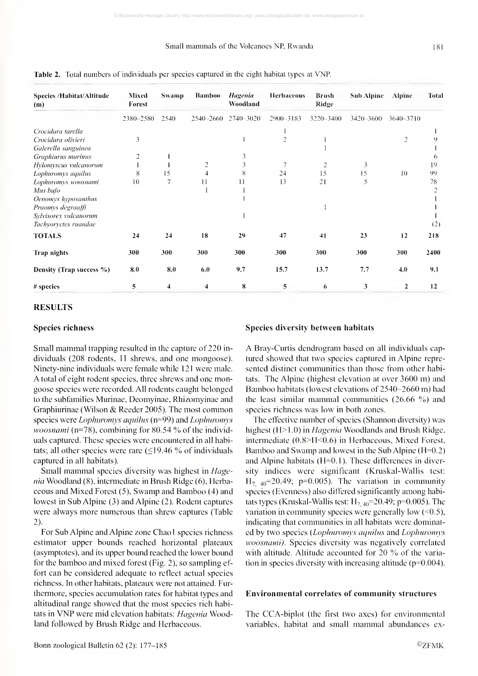# Small mammals of the Volcanoes NP, Rwanda

| <b>Species /Habitat/Altitude</b> | Mixed     | <b>Swamp</b> | <b>Bamboo</b>           | <b>Hagenia</b> | <b>Herbaceous</b> | <b>Brush</b>   | Sub Alpine | Alpine         | <b>Total</b> |
|----------------------------------|-----------|--------------|-------------------------|----------------|-------------------|----------------|------------|----------------|--------------|
| (m)                              | Forest    |              |                         | Woodland       |                   | Ridge          |            |                |              |
|                                  | 2380-2580 | 2540         | 2540-2660               | 2740-3020      | 2900-3183         | 3220-3400      | 3420-3600  | 3640-3710      |              |
| Crocidura tarella                |           |              |                         |                |                   |                |            |                |              |
| Crocidura olivieri               | 3         |              |                         |                | $\overline{2}$    |                |            | $\overline{c}$ |              |
| Galerella sanguinea              |           |              |                         |                |                   |                |            |                |              |
| Graphiurus murinus               | 2         |              |                         | 3              |                   |                |            |                | 6            |
| Hylomyscus vulcanorum            |           |              | $\overline{c}$          |                | $\overline{7}$    | $\overline{c}$ | 3          |                | 19           |
| Lophuromys aquilus               | 8         | 15           |                         | 8              | 24                | 15             | 15         | 10             | 99           |
| Lophuromys woosnami              | 10        | 7            | 11                      | 11             | 13                | 21             | 5          |                | 78           |
| Mus bufo                         |           |              |                         |                |                   |                |            |                |              |
| Oenomys hypoxanthus              |           |              |                         |                |                   |                |            |                |              |
| Praomys degraaffi                |           |              |                         |                |                   |                |            |                |              |
| Sylvisorex vulcanorum            |           |              |                         |                |                   |                |            |                |              |
| Tachyoryctes ruandae             |           |              |                         |                |                   |                |            |                | (2)          |
| <b>TOTALS</b>                    | 24        | 24           | 18                      | 29             | 47                | 41             | 23         | 12             | 218          |
| <b>Trap nights</b>               | 300       | 300          | 300                     | 300            | 300               | 300            | 300        | 300            | 2400         |
| Density (Trap success %)         | 8.0       | 8.0          | 6.0                     | 9.7            | 15.7              | 13.7           | 7.7        | 4.0            | 9.1          |
| # species                        | 5         | 4            | $\overline{\mathbf{4}}$ | 8              | 5                 | 6              | 3          | $\overline{2}$ | 12           |

Table 2. Total numbers of individuals per species captured in the eight habitat types at VNP.

#### RESULTS

### Species richness

Small mammal trapping resulted in the capture of 220 in dividuals (208 rodents, 11 shrews, and one mongoose). Ninety-nine individuals were female while 121 were male. A total of eight rodent species, three shrews and one mongoose species were recorded. All rodents caught belonged to the subfamilies Murinae, Deomyinae, Rhizomyinae and Graphiurinae (Wilson & Reeder 2005). The most common species were *Lophuromys aquilus* (n=99) and *Lophuromys* woosnami (n=78), combining for 80.54 % of the individuals captured. These species were encountered in all habitats; all other species were rare  $(\leq 19.46\%$  of individuals captured in all habitats).

Small mammal species diversity was highest in Hage  $nia$  Woodland (8), intermediate in Brush Ridge (6), Herbaceous and Mixed Forest  $(5)$ , Swamp and Bamboo  $(4)$  and lowest in Sub Alpine (3) and Alpine (2). Rodent captures were always more numerous than shrew captures (Table 2).

For Sub Alpine and Alpine zone Chao <sup>1</sup> species richness estimator upper bounds reached horizontal plateaux (asymptotes), and its upper bound reached the lower bound for the bamboo and mixed forest (Fig. 2), so sampling ef fort can be considered adequate to reflect actual species richness. In other habitats, plateaux were not attained. Fur thermore, species accumulation rates for habitat types and altitudinal range showed that the most species rich habitats in VNP were mid elevation habitats: *Hagenia* Woodland followed by Brush Ridge and Herbaceous.

#### Species diversity between habitats

A Bray-Curtis dendrogram based on all individuals captured showed that two species captured in Alpine repre sented distinct communities than those from other habitats. The Alpine (highest elevation at over 3600 m) and Bamboo habitats (lowest elevations of 2540-2660 m) had the least similar mammal communities  $(26.66 \%)$  and species richness was low in both zones.

The effective number of species (Shannon diversity) was highest (H>1.0) in *Hagenia* Woodlands and Brush Ridge, intennediate (0.8>H<0.6) in Herbaceous, Mixed Forest, Bamboo and Swamp and lowest in the Sub Alpine (H=0.2) and Alpine habitats (H=0.1). These differences in diversity indices were significant (Kruskal-Wallis test:  $H_{7,40}$ =20.49; p=0.005). The variation in community species (Evenness) also differed significantly among habitats types (Kruskal-Wallis test:  $H_{7.40}$ =20.49; p=0.005). The variation in community species were generally low (<0.5), indicating that communities in all habitats were dominated by two species (*Lophuromys aquilus* and *Lophuromys* woosnami). Species diversity was negatively correlated with altitude. Altitude accounted for <sup>20</sup> % of the variation in species diversity with increasing altitude ( $p=0.004$ ).

#### Environmental correlates of community structures

The CCA-biplot (the first two axes) for environmental variables, habitat and small mammal abundances ex-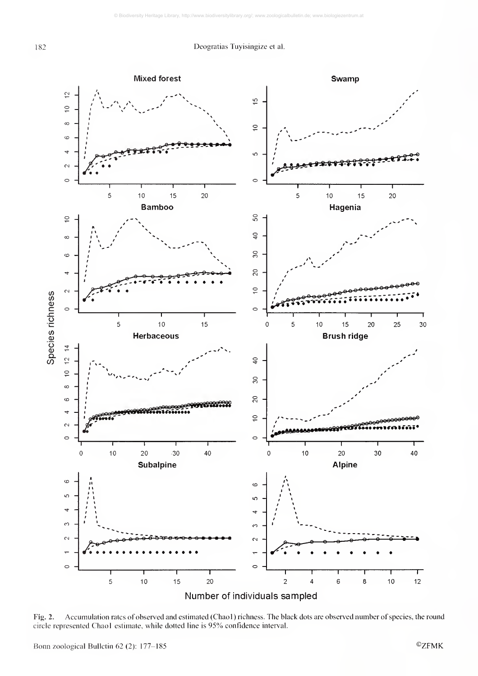

Fig. 2. Accumulation rates of observed and estimated (Chaol ) richness. The black dots are observed number of species, the round circle represented Chaol estimate, while dotted line is 95% confidence interval.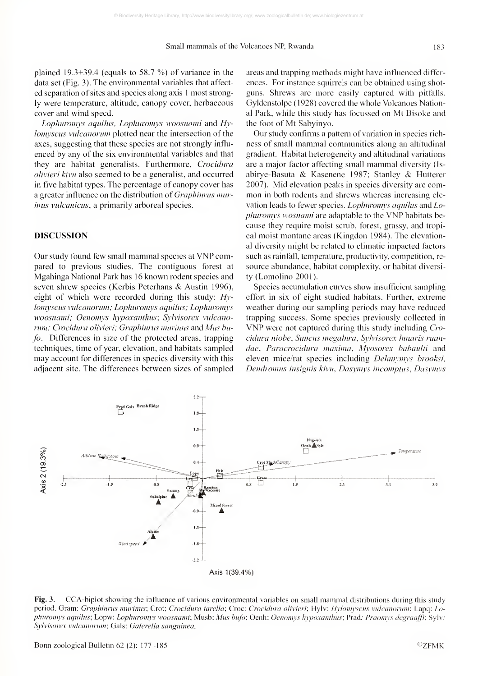plained 19.3+39.4 (equals to 58.7 %) of variance in the data set (Fig. 3). The environmental variables that affect ed separation of sites and species along axis <sup>1</sup> most strongly were temperature, altitude, canopy cover, herbaceous cover and wind speed.

Lophuromys aquihis, Lophuromys woosnami and  $Hv$ lomyscus vulcanorum plotted near the intersection of the axes, suggesting that these species are not strongly influ enced by any of the six environmental variables and that they are habitat generalists. Furthermore, Crocidura olivieri kivu also seemed to be a generalist, and occurred in five habitat types. The percentage of canopy cover has a greater influence on the distribution of Graphiurus murinus vulcanicus, a primarily arboreal species.

# DISCUSSION

Our study found few small mammal species at VNP compared to previous studies. The contiguous forest at Mgahinga National Park has 16 known rodent species and seven shrew species (Kerbis Peterhans & Austin 1996), eight of which were recorded during this study:  $Hv$ lomyscus vulcanorum; Lophuromys aquilus; Lophuromys woosnami; Oenomys hypoxanthus; Sylvisorex vulcanorum; Crocidura olivieri; Graphiurus muriuus and Mus bufo. Differences in size of the protected areas, trapping techniques, time of year, elevation, and habitats sampled may account for differences in species diversity with this adjacent site. The differences between sizes of sampled

areas and trapping methods might have influenced differ ences. For instance squirrels can be obtained using shot guns. Shrews are more easily captured with pitfalls. Gyldenstolpe (1928) covered the whole Volcanoes National Park, while this study has focussed on Mt Bisokc and the foot of Mt Sabyinyo.

Our study confimis a pattern of variation in species rich ness of small mammal communities along an altitudinal gradient. Habitat heterogeneity and altitudinal variations are <sup>a</sup> major factor affecting small mammal diversity (Is abirye-Basuta & Kasenene 1987; Stanley & Hutterer 2007). Mid elevation peaks in species diversity are com mon in both rodents and shrews whereas increasing ele vation leads to fewer species. *Lophuromys aquilus* and *Lo*phuromys wosnami are adaptable to the VNP habitats because they require moist scrub, forest, grassy, and tropical moist montane areas (Kingdon 1984). The elevational diversity might be related to climatic impacted factors such as rainfall, temperature, productivity, competition, re source abundance, habitat complexity, or habitat diversity (Lomolino 2001).

Species accumulation curves show insufficient sampling effort in six of eight studied habitats. Further, extreme weather during our sampling periods may have reduced trapping success. Some species previously collected in VNP were not captured during this study including Crocidura niobe, Suncus megahıra, Sylvisorex hmaris ruandae, Paracrocidura maxima, Myosorex habaulti and eleven mice/rat species including *Delanynys brooksi*, Dendromus insignis kivu, Dasymys incomptus, Dasymys



Fig. 3. CCA-biplot showing the influence of various environmental variables on small mammal distributions during this study period. Gram: Graphiurus murinus; Crot; Crocidura tarella; Croc: Crocidura olivieri; Hylv: Hylomyscus vulcanorum; Lapq: Lophuromys aquilus; Lopw: Lophuromys woosnami; Musb: Mus bufo; Oenh: Oenomys hypoxanthus; Prad.- Praomys degraaffi; Sylv.-Sylvisorex vulcanorum; Gals: Galerella sanguinea.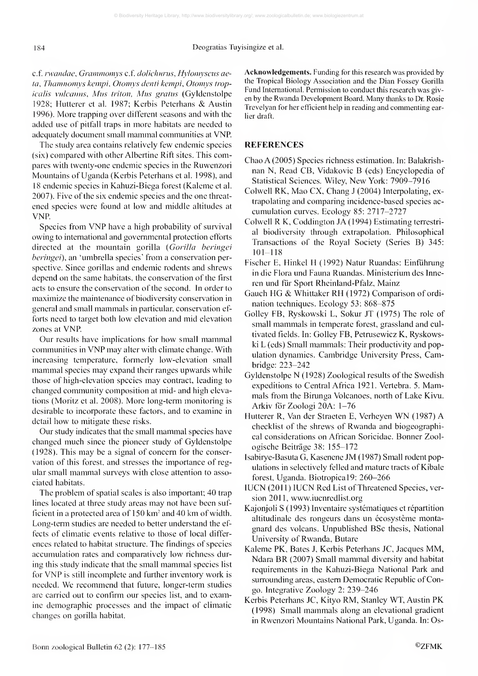c.f. rwandae, Grammomys c.f. dolichurus, Hylomyscus aeta, Thamnomys kempi, Otomys denti kempi, Otomys tropicalis vnlcanns, Mus triton, Mus gratus (Gyldenstolpe 1928; Hutterer et al. 1987; Kerbis Peterhans & Austin 1996). More trapping over different seasons and with the added use of pitfall traps in more habitats are needed to adequately document small mammal communities at VNP.

The study area contains relatively few endemic species (six) compared with other Albcrtine Rift sites. This compares with twenty-one endemic species in the Ruwenzori Mountains of Uganda (Kerbis Peterhans et al. 1998), and 18 endemic species in Kahuzi-Biega forest (Kaleme et al. 2007). Five of the six endemic species and the one threat ened species were found at low and middle altitudes at VNP

Species from VNP have <sup>a</sup> high probability of survival owing to international and governmental protection efforts directed at the mountain gorilla (Gorilla beringei beringei), an 'umbrella species' from a conservation perspective. Since gorillas and endemic rodents and shrews depend on the same habitats, the conservation of the first acts to ensure the conservation of the second. In order to maximize the maintenance of biodiversity conservation in general and small mammals in particular, conservation ef forts need to target both low elevation and mid elevation zones at VNP.

Our results have implications for how small mammal communities in VNP may alter with climate change. With increasing temperature, formerly low-elevation small mammal species may expand their ranges upwards while those of high-elevation species may contract, leading to changed community composition at mid- and high elevations (Moritz et al. 2008). More long-tenn monitoring is desirable to incorporate these factors, and to examine in detail how to mitigate these risks.

Our study indicates that the small mammal species have changed much since the pioneer study of Gyldenstolpe (1928). This may be a signal of concern for the conservation of this forest, and stresses the importance of regular small mammal surveys with close attention to associated habitats.

The problem of spatial scales is also important; 40 trap lines located at three study areas may not have been sufficient in a protected area of 150 km<sup>2</sup> and 40 km of width. Long-tenn studies are needed to better understand the ef fects of climatic events relative to those of local differ ences related to habitat stmcture. The findings of species accumulation rates and comparatively low richness dur ing this study indicate that the small mammal species list for VNP is still incomplete and further inventory work is needed. We recommend that future, longer-term studies are carried out to confirm our species list, and to examine demographic processes and the impact of climatic changes on gorilla habitat.

Acknowledgements. Funding for this research was provided by the Tropical Biology Association and the Dian Fossey Gorilla Fund International. Permission to conduct this research was given by the Rwanda Development Board. Many thanks to Dr. Rosie Trevelyan for her efficient help in reading and commenting earlier draft.

# **REFERENCES**

- Chao A (2005) Species richness estimation. In: Balakrish nan N, Read CB, Vidakovic B (eds) Encyclopedia of Statistical Sciences. Wiley, New York: 7909-7916
- Colwell RK, Mao CX, Chang <sup>J</sup>(2004) Interpolating, extrapolating and comparing incidence-based species ac cumulation curves. Ecology 85: 2717-2727
- Colwell R K, Coddington <sup>J</sup>A (1994) Estimating terrestrial biodiversity through extrapolation. Philosophical Transactions of the Royal Society (Series B) 345: 101-118
- Fischer E, Hinkel H (1992) Natur Ruandas: Einfuhrung in die Flora und Fauna Ruandas. Ministerium des Inneren und fiir Sport Rheinland-Pfalz, Mainz
- Gauch HG & Whittaker RH (1972) Comparison of ordi nation techniques. Ecology 53: 868-875
- Golley FB, Ryskowski L, Sokur JT (1975) The role of small mammals in temperate forest, grassland and cul tivated fields. In: Golley FB, Petrusewicz K, Ryskowski L (eds) Small mammals: Their productivity and population dynamics. Cambridge University Press, Cambridge: 223-242
- Gyldenstolpe N ( 1928) Zoological results of the Swedish expeditions to Central Africa 1921. Vertebra. 5. Mammals from the Birunga Volcanoes, north of Lake Kivu. Arkiv for Zoologi 20A: 1-76
- Hutterer R, Van der Straeten E, Verheyen WN (1987) A checklist of the shrews of Rwanda and biogeographical considerations on African Soricidae. Bonner Zoologische Beiträge 38: 155-172
- Isabirye-Basuta G, Kasenene JM (1987) Small rodent populations in selectively felled and mature tracts of Kibale forest, Uganda. Biotropical9: 260-266
- IUCN (2011) IUCN Red List of Threatened Species, version 2011, www.iucnredlist.org
- Kajonjoli S (1993) Inventaire systématiques et répartition altitudinale des rongeurs dans un écosystème montagnard des volcans. Unpublished BSc thesis. National University of Rwanda, Butare
- Kaleme PK, Bates J, Kerbis Peterhans JC, Jacques MM, Ndara BR (2007) Small mammal diversity and habitat requirements in the Kahuzi-Biega National Park and surrounding areas, eastem Democratic Republic of Congo. Integrative Zoology 2: 239-246
- Kerbis Peterhans JC, Kityo RM, Stanley WT, Austin PK (1998) Small mammals along an elevational gradient in Rwenzori Mountains National Park, Uganda. In: Os-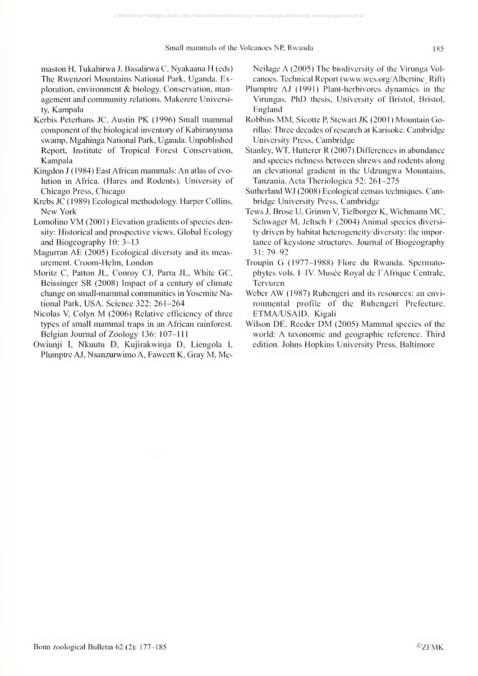maston H. Tukahirwa J, Basalirwa C, Nyakaana H (eds) The Rwenzori Mountains National Park, Uganda. Exploration, environment & biology. Conservation, management and community relations. Makerere University, Kampala

- Kerbis Peterhans JC, Austin PK (1996) Small mammal component of the biological inventory of Kabiranyuma swamp, Mgahinga National Park, Uganda. Unpublished Report, Institute of Tropical Forest Conservation, Kampala
- Kingdon <sup>J</sup> (1984) East African mammals: An atlas of evolution in Africa. (Hares and Rodents). University of Chicago Press, Chicago
- Krebs JC (1989) Ecological methodology. Harper Collins, New York
- Lomolino VM (2001) Elevation gradients of species density: Historical and prospective views. Global Ecology and Biogeography 10: 3-13
- Magurran AE (2005) Ecological diversity and its measurement. Croom-Helm, London
- Moritz C, Patton JL, Conroy CJ, Parra JL, White GC, Beissinger SR (2008) Impact of <sup>a</sup> century of climate change on small-mammal communities in Yosemite National Park, USA. Science 322: 261-264
- Nicolas V, Colyn M (2006) Relative efficiency of three types of small mammal traps in an African rainforest. Belgian Journal of Zoology 136: 107-111
- Owiunji I, Nkuutu D, Kujirakwinja D, Liengola I, Plumptre AJ, Nsanzurwimo A, Fawcett K, Gray M, Mc-

Neilage A (2005) The biodiversity of the Virunga Volcanoes. Technical Report (www.wcs.org/Albertine\_Rift)

- Plumptre AJ (1991) Plant-herbivores dynamics in the Virungas. PhD thesis. University of Bristol, Bristol, England
- Robbins MM, Sicofte P, Stewart JK (2001) Mountain Gorillas: Three decades of research at Karisoke. Cambridge University Press, Cambridge
- Stanley, WT, Hutterer R (2007) Differences in abundance and species richness between shrews and rodents along an elevational gradient in the Udzungwa Mountains, Tanzania. Acta Theriologica 52: 261-275
- Sutherland WJ (2008) Ecological census techniques. Cambridge University Press, Cambridge
- Tews J, Brose U, Grimm V, Tielborger K, Wichmann MC, Schwager M, Jeltsch F (2004) Animal species diversity driven by habitat heterogeneity/diversity: the importance of keystone structures. Journal of Biogeography 3 <sup>1</sup> : 79-92
- Troupin G (1977-1988) Flore du Rwanda. Spermatophytes vols. I-IV. Musée Royal de l'Afrique Centrale, Tervuren
- Weber AW (1987) Ruhengeri and its resources: an environmental profile of the Ruhengeri Prefecture. ETMA/USAID, Kigali
- Wilson DE, Reeder DM (2005) Mammal species of the world: A taxonomic and geographic reference. Third edition. Johns Hopkins University Press, Baltimore